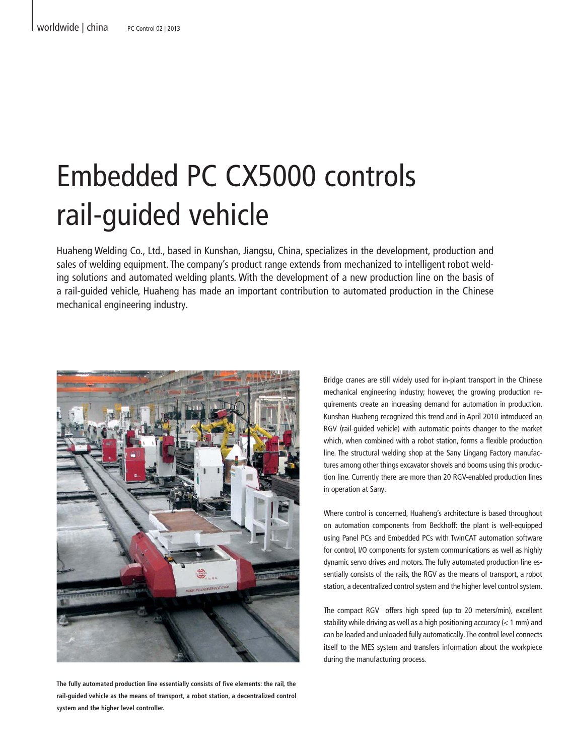## Embedded PC CX5000 controls rail-guided vehicle

Huaheng Welding Co., Ltd., based in Kunshan, Jiangsu, China, specializes in the development, production and sales of welding equipment. The company's product range extends from mechanized to intelligent robot welding solutions and automated welding plants. With the development of a new production line on the basis of a rail-guided vehicle, Huaheng has made an important contribution to automated production in the Chinese mechanical engineering industry.



**The fully automated production line essentially consists of five elements: the rail, the rail-guided vehicle as the means of transport, a robot station, a decentralized control system and the higher level controller.** 

Bridge cranes are still widely used for in-plant transport in the Chinese mechanical engineering industry; however, the growing production requirements create an increasing demand for automation in production. Kunshan Huaheng recognized this trend and in April 2010 introduced an RGV (rail-guided vehicle) with automatic points changer to the market which, when combined with a robot station, forms a flexible production line. The structural welding shop at the Sany Lingang Factory manufactures among other things excavator shovels and booms using this production line. Currently there are more than 20 RGV-enabled production lines in operation at Sany.

Where control is concerned, Huaheng's architecture is based throughout on automation components from Beckhoff: the plant is well-equipped using Panel PCs and Embedded PCs with TwinCAT automation software for control, I/O components for system communications as well as highly dynamic servo drives and motors. The fully automated production line essentially consists of the rails, the RGV as the means of transport, a robot station, a decentralized control system and the higher level control system.

The compact RGV offers high speed (up to 20 meters/min), excellent stability while driving as well as a high positioning accuracy (< 1 mm) and can be loaded and unloaded fully automatically. The control level connects itself to the MES system and transfers information about the workpiece during the manufacturing process.